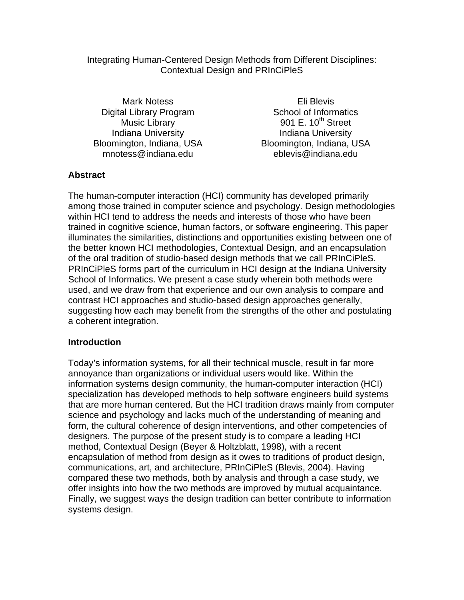#### Integrating Human-Centered Design Methods from Different Disciplines: Contextual Design and PRInCiPleS

Mark Notess Digital Library Program Music Library Indiana University Bloomington, Indiana, USA mnotess@indiana.edu

Eli Blevis School of Informatics 901 E.  $10^{th}$  Street Indiana University Bloomington, Indiana, USA eblevis@indiana.edu

# **Abstract**

The human-computer interaction (HCI) community has developed primarily among those trained in computer science and psychology. Design methodologies within HCI tend to address the needs and interests of those who have been trained in cognitive science, human factors, or software engineering. This paper illuminates the similarities, distinctions and opportunities existing between one of the better known HCI methodologies, Contextual Design, and an encapsulation of the oral tradition of studio-based design methods that we call PRInCiPleS. PRInCiPleS forms part of the curriculum in HCI design at the Indiana University School of Informatics. We present a case study wherein both methods were used, and we draw from that experience and our own analysis to compare and contrast HCI approaches and studio-based design approaches generally, suggesting how each may benefit from the strengths of the other and postulating a coherent integration.

### **Introduction**

Today's information systems, for all their technical muscle, result in far more annoyance than organizations or individual users would like. Within the information systems design community, the human-computer interaction (HCI) specialization has developed methods to help software engineers build systems that are more human centered. But the HCI tradition draws mainly from computer science and psychology and lacks much of the understanding of meaning and form, the cultural coherence of design interventions, and other competencies of designers. The purpose of the present study is to compare a leading HCI method, Contextual Design (Beyer & Holtzblatt, 1998), with a recent encapsulation of method from design as it owes to traditions of product design, communications, art, and architecture, PRInCiPleS (Blevis, 2004). Having compared these two methods, both by analysis and through a case study, we offer insights into how the two methods are improved by mutual acquaintance. Finally, we suggest ways the design tradition can better contribute to information systems design.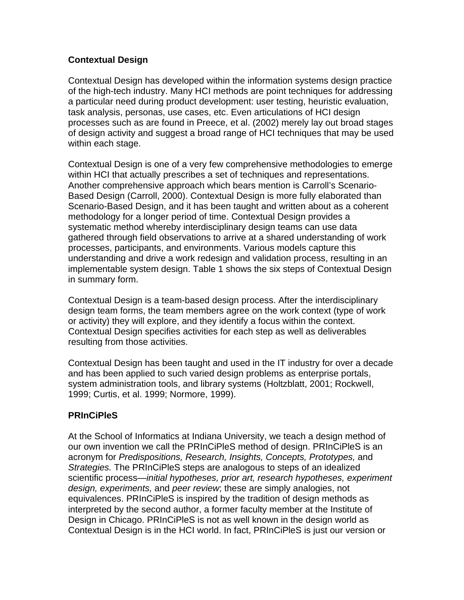## **Contextual Design**

Contextual Design has developed within the information systems design practice of the high-tech industry. Many HCI methods are point techniques for addressing a particular need during product development: user testing, heuristic evaluation, task analysis, personas, use cases, etc. Even articulations of HCI design processes such as are found in Preece, et al. (2002) merely lay out broad stages of design activity and suggest a broad range of HCI techniques that may be used within each stage.

Contextual Design is one of a very few comprehensive methodologies to emerge within HCI that actually prescribes a set of techniques and representations. Another comprehensive approach which bears mention is Carroll's Scenario-Based Design (Carroll, 2000). Contextual Design is more fully elaborated than Scenario-Based Design, and it has been taught and written about as a coherent methodology for a longer period of time. Contextual Design provides a systematic method whereby interdisciplinary design teams can use data gathered through field observations to arrive at a shared understanding of work processes, participants, and environments. Various models capture this understanding and drive a work redesign and validation process, resulting in an implementable system design. Table 1 shows the six steps of Contextual Design in summary form.

Contextual Design is a team-based design process. After the interdisciplinary design team forms, the team members agree on the work context (type of work or activity) they will explore, and they identify a focus within the context. Contextual Design specifies activities for each step as well as deliverables resulting from those activities.

Contextual Design has been taught and used in the IT industry for over a decade and has been applied to such varied design problems as enterprise portals, system administration tools, and library systems (Holtzblatt, 2001; Rockwell, 1999; Curtis, et al. 1999; Normore, 1999).

# **PRInCiPleS**

At the School of Informatics at Indiana University, we teach a design method of our own invention we call the PRInCiPleS method of design. PRInCiPleS is an acronym for *Predispositions, Research, Insights, Concepts, Prototypes,* and *Strategies.* The PRInCiPleS steps are analogous to steps of an idealized scientific process—*initial hypotheses, prior art, research hypotheses, experiment design, experiments,* and *peer review*; these are simply analogies, not equivalences. PRInCiPleS is inspired by the tradition of design methods as interpreted by the second author, a former faculty member at the Institute of Design in Chicago. PRInCiPleS is not as well known in the design world as Contextual Design is in the HCI world. In fact, PRInCiPleS is just our version or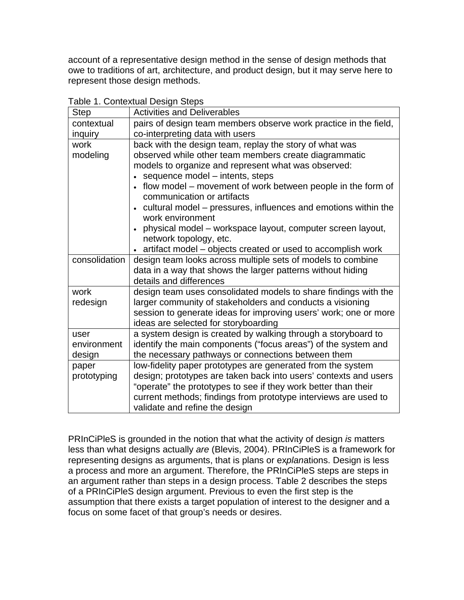account of a representative design method in the sense of design methods that owe to traditions of art, architecture, and product design, but it may serve here to represent those design methods.

| <b>Step</b>   | apio 1. Contontadi Dobigni Ctopo<br><b>Activities and Deliverables</b>             |  |  |
|---------------|------------------------------------------------------------------------------------|--|--|
| contextual    | pairs of design team members observe work practice in the field,                   |  |  |
| inquiry       | co-interpreting data with users                                                    |  |  |
| work          | back with the design team, replay the story of what was                            |  |  |
| modeling      | observed while other team members create diagrammatic                              |  |  |
|               | models to organize and represent what was observed:                                |  |  |
|               | sequence model – intents, steps                                                    |  |  |
|               | • flow model – movement of work between people in the form of                      |  |  |
|               | communication or artifacts                                                         |  |  |
|               | cultural model - pressures, influences and emotions within the<br>work environment |  |  |
|               | physical model - workspace layout, computer screen layout,                         |  |  |
|               | network topology, etc.                                                             |  |  |
|               | artifact model – objects created or used to accomplish work                        |  |  |
| consolidation | design team looks across multiple sets of models to combine                        |  |  |
|               | data in a way that shows the larger patterns without hiding                        |  |  |
|               | details and differences                                                            |  |  |
| work          | design team uses consolidated models to share findings with the                    |  |  |
| redesign      | larger community of stakeholders and conducts a visioning                          |  |  |
|               | session to generate ideas for improving users' work; one or more                   |  |  |
|               | ideas are selected for storyboarding                                               |  |  |
| user          | a system design is created by walking through a storyboard to                      |  |  |
| environment   | identify the main components ("focus areas") of the system and                     |  |  |
| design        | the necessary pathways or connections between them                                 |  |  |
| paper         | low-fidelity paper prototypes are generated from the system                        |  |  |
| prototyping   | design; prototypes are taken back into users' contexts and users                   |  |  |
|               | "operate" the prototypes to see if they work better than their                     |  |  |
|               | current methods; findings from prototype interviews are used to                    |  |  |
|               | validate and refine the design                                                     |  |  |

Table 1. Contextual Design Steps

PRInCiPleS is grounded in the notion that what the activity of design *is* matters less than what designs actually *are* (Blevis, 2004). PRInCiPleS is a framework for representing designs as arguments, that is plans or ex*plan*ations. Design is less a process and more an argument. Therefore, the PRInCiPleS steps are steps in an argument rather than steps in a design process. Table 2 describes the steps of a PRInCiPleS design argument. Previous to even the first step is the assumption that there exists a target population of interest to the designer and a focus on some facet of that group's needs or desires.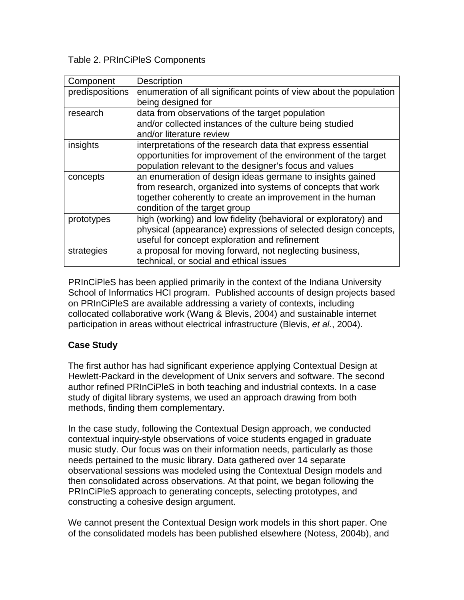Table 2. PRInCiPleS Components

| Component       | <b>Description</b>                                                                                                                                                                                                     |  |
|-----------------|------------------------------------------------------------------------------------------------------------------------------------------------------------------------------------------------------------------------|--|
| predispositions | enumeration of all significant points of view about the population<br>being designed for                                                                                                                               |  |
| research        | data from observations of the target population<br>and/or collected instances of the culture being studied<br>and/or literature review                                                                                 |  |
| insights        | interpretations of the research data that express essential<br>opportunities for improvement of the environment of the target<br>population relevant to the designer's focus and values                                |  |
| concepts        | an enumeration of design ideas germane to insights gained<br>from research, organized into systems of concepts that work<br>together coherently to create an improvement in the human<br>condition of the target group |  |
| prototypes      | high (working) and low fidelity (behavioral or exploratory) and<br>physical (appearance) expressions of selected design concepts,<br>useful for concept exploration and refinement                                     |  |
| strategies      | a proposal for moving forward, not neglecting business,<br>technical, or social and ethical issues                                                                                                                     |  |

PRInCiPleS has been applied primarily in the context of the Indiana University School of Informatics HCI program. Published accounts of design projects based on PRInCiPleS are available addressing a variety of contexts, including collocated collaborative work (Wang & Blevis, 2004) and sustainable internet participation in areas without electrical infrastructure (Blevis, *et al.*, 2004).

# **Case Study**

The first author has had significant experience applying Contextual Design at Hewlett-Packard in the development of Unix servers and software. The second author refined PRInCiPleS in both teaching and industrial contexts. In a case study of digital library systems, we used an approach drawing from both methods, finding them complementary.

In the case study, following the Contextual Design approach, we conducted contextual inquiry-style observations of voice students engaged in graduate music study. Our focus was on their information needs, particularly as those needs pertained to the music library. Data gathered over 14 separate observational sessions was modeled using the Contextual Design models and then consolidated across observations. At that point, we began following the PRInCiPleS approach to generating concepts, selecting prototypes, and constructing a cohesive design argument.

We cannot present the Contextual Design work models in this short paper. One of the consolidated models has been published elsewhere (Notess, 2004b), and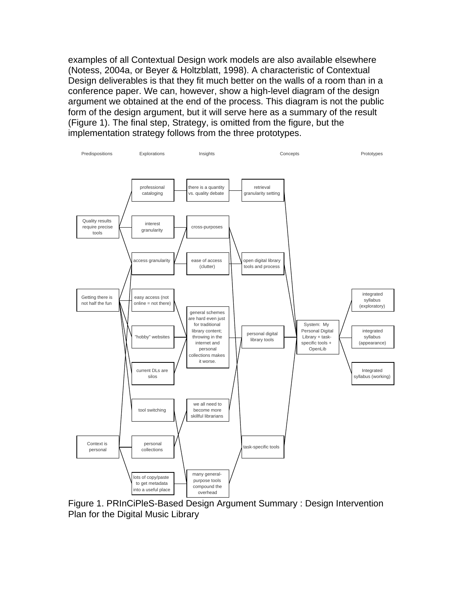examples of all Contextual Design work models are also available elsewhere (Notess, 2004a, or Beyer & Holtzblatt, 1998). A characteristic of Contextual Design deliverables is that they fit much better on the walls of a room than in a conference paper. We can, however, show a high-level diagram of the design argument we obtained at the end of the process. This diagram is not the public form of the design argument, but it will serve here as a summary of the result (Figure 1). The final step, Strategy, is omitted from the figure, but the implementation strategy follows from the three prototypes.



Figure 1. PRInCiPleS-Based Design Argument Summary : Design Intervention Plan for the Digital Music Library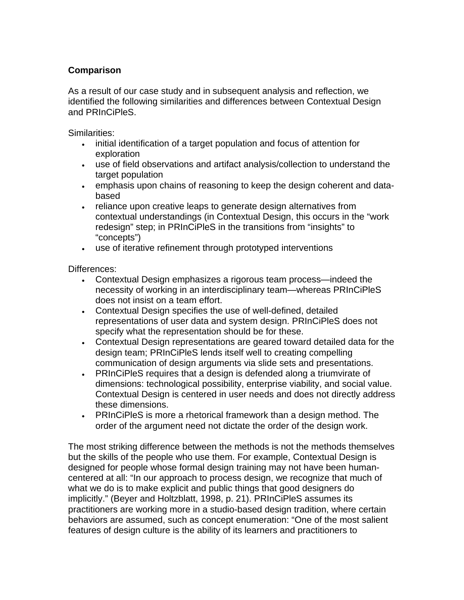# **Comparison**

As a result of our case study and in subsequent analysis and reflection, we identified the following similarities and differences between Contextual Design and PRInCiPleS.

Similarities:

- initial identification of a target population and focus of attention for exploration
- use of field observations and artifact analysis/collection to understand the target population
- emphasis upon chains of reasoning to keep the design coherent and databased
- reliance upon creative leaps to generate design alternatives from contextual understandings (in Contextual Design, this occurs in the "work redesign" step; in PRInCiPleS in the transitions from "insights" to "concepts")
- use of iterative refinement through prototyped interventions

Differences:

- Contextual Design emphasizes a rigorous team process—indeed the necessity of working in an interdisciplinary team—whereas PRInCiPleS does not insist on a team effort.
- Contextual Design specifies the use of well-defined, detailed representations of user data and system design. PRInCiPleS does not specify what the representation should be for these.
- Contextual Design representations are geared toward detailed data for the design team; PRInCiPleS lends itself well to creating compelling communication of design arguments via slide sets and presentations.
- PRInCiPleS requires that a design is defended along a triumvirate of dimensions: technological possibility, enterprise viability, and social value. Contextual Design is centered in user needs and does not directly address these dimensions.
- PRInCiPleS is more a rhetorical framework than a design method. The order of the argument need not dictate the order of the design work.

The most striking difference between the methods is not the methods themselves but the skills of the people who use them. For example, Contextual Design is designed for people whose formal design training may not have been humancentered at all: "In our approach to process design, we recognize that much of what we do is to make explicit and public things that good designers do implicitly." (Beyer and Holtzblatt, 1998, p. 21). PRInCiPleS assumes its practitioners are working more in a studio-based design tradition, where certain behaviors are assumed, such as concept enumeration: "One of the most salient features of design culture is the ability of its learners and practitioners to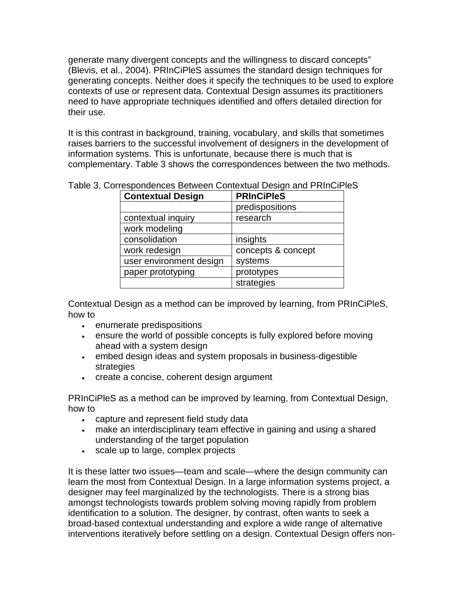generate many divergent concepts and the willingness to discard concepts" (Blevis, et al., 2004). PRInCiPleS assumes the standard design techniques for generating concepts. Neither does it specify the techniques to be used to explore contexts of use or represent data. Contextual Design assumes its practitioners need to have appropriate techniques identified and offers detailed direction for their use.

It is this contrast in background, training, vocabulary, and skills that sometimes raises barriers to the successful involvement of designers in the development of information systems. This is unfortunate, because there is much that is complementary. Table 3 shows the correspondences between the two methods.

| <b>Contextual Design</b> | <b>PRInCiPleS</b>  |
|--------------------------|--------------------|
|                          | predispositions    |
| contextual inquiry       | research           |
| work modeling            |                    |
| consolidation            | insights           |
| work redesign            | concepts & concept |
| user environment design  | systems            |
| paper prototyping        | prototypes         |
|                          | strategies         |

Table 3. Correspondences Between Contextual Design and PRInCiPleS

Contextual Design as a method can be improved by learning, from PRInCiPleS, how to

- enumerate predispositions
- ensure the world of possible concepts is fully explored before moving ahead with a system design
- embed design ideas and system proposals in business-digestible strategies
- create a concise, coherent design argument

PRInCiPleS as a method can be improved by learning, from Contextual Design, how to

- capture and represent field study data
- make an interdisciplinary team effective in gaining and using a shared understanding of the target population
- scale up to large, complex projects

It is these latter two issues—team and scale—where the design community can learn the most from Contextual Design. In a large information systems project, a designer may feel marginalized by the technologists. There is a strong bias amongst technologists towards problem solving moving rapidly from problem identification to a solution. The designer, by contrast, often wants to seek a broad-based contextual understanding and explore a wide range of alternative interventions iteratively before settling on a design. Contextual Design offers non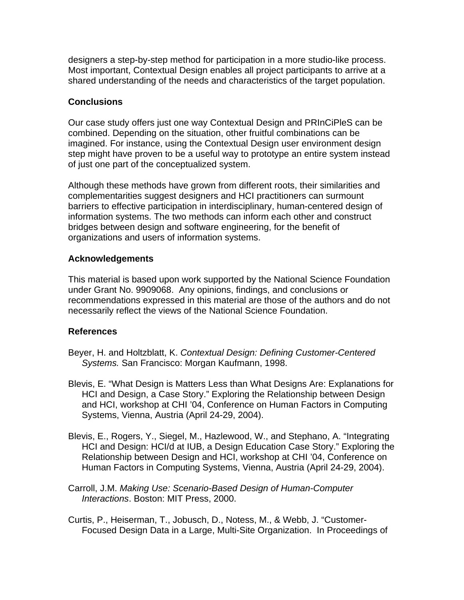designers a step-by-step method for participation in a more studio-like process. Most important, Contextual Design enables all project participants to arrive at a shared understanding of the needs and characteristics of the target population.

## **Conclusions**

Our case study offers just one way Contextual Design and PRInCiPleS can be combined. Depending on the situation, other fruitful combinations can be imagined. For instance, using the Contextual Design user environment design step might have proven to be a useful way to prototype an entire system instead of just one part of the conceptualized system.

Although these methods have grown from different roots, their similarities and complementarities suggest designers and HCI practitioners can surmount barriers to effective participation in interdisciplinary, human-centered design of information systems. The two methods can inform each other and construct bridges between design and software engineering, for the benefit of organizations and users of information systems.

### **Acknowledgements**

This material is based upon work supported by the National Science Foundation under Grant No. 9909068. Any opinions, findings, and conclusions or recommendations expressed in this material are those of the authors and do not necessarily reflect the views of the National Science Foundation.

### **References**

- Beyer, H. and Holtzblatt, K. *Contextual Design: Defining Customer-Centered Systems.* San Francisco: Morgan Kaufmann, 1998.
- Blevis, E. "What Design is Matters Less than What Designs Are: Explanations for HCI and Design, a Case Story." Exploring the Relationship between Design and HCI, workshop at CHI '04, Conference on Human Factors in Computing Systems, Vienna, Austria (April 24-29, 2004).
- Blevis, E., Rogers, Y., Siegel, M., Hazlewood, W., and Stephano, A. "Integrating HCI and Design: HCI/d at IUB, a Design Education Case Story." Exploring the Relationship between Design and HCI, workshop at CHI '04, Conference on Human Factors in Computing Systems, Vienna, Austria (April 24-29, 2004).
- Carroll, J.M. *Making Use: Scenario-Based Design of Human-Computer Interactions*. Boston: MIT Press, 2000.

Curtis, P., Heiserman, T., Jobusch, D., Notess, M., & Webb, J. "Customer-Focused Design Data in a Large, Multi-Site Organization. In Proceedings of